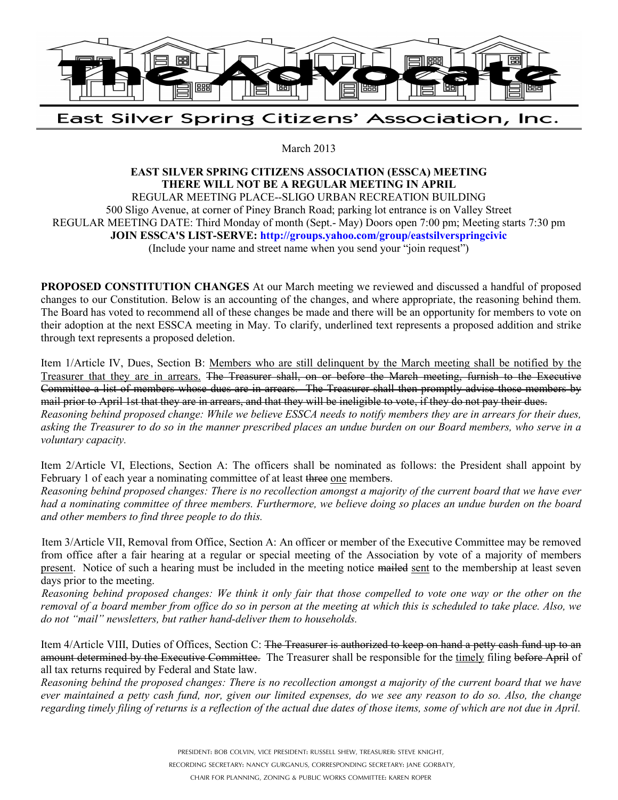

## East Silver Spring Citizens' Association, Inc.

March 2013

## **EAST SILVER SPRING CITIZENS ASSOCIATION (ESSCA) MEETING THERE WILL NOT BE A REGULAR MEETING IN APRIL**

REGULAR MEETING PLACE--SLIGO URBAN RECREATION BUILDING 500 Sligo Avenue, at corner of Piney Branch Road; parking lot entrance is on Valley Street REGULAR MEETING DATE: Third Monday of month (Sept.- May) Doors open 7:00 pm; Meeting starts 7:30 pm **JOIN ESSCA'S LIST-SERVE: http://groups.yahoo.com/group/eastsilverspringcivic** (Include your name and street name when you send your "join request")

**PROPOSED CONSTITUTION CHANGES** At our March meeting we reviewed and discussed a handful of proposed changes to our Constitution. Below is an accounting of the changes, and where appropriate, the reasoning behind them. The Board has voted to recommend all of these changes be made and there will be an opportunity for members to vote on their adoption at the next ESSCA meeting in May. To clarify, underlined text represents a proposed addition and strike through text represents a proposed deletion.

Item 1/Article IV, Dues, Section B: Members who are still delinquent by the March meeting shall be notified by the Treasurer that they are in arrears. The Treasurer shall, on or before the March meeting, furnish to the Executive Committee a list of members whose dues are in arrears. The Treasurer shall then promptly advise those members by mail prior to April 1st that they are in arrears, and that they will be ineligible to vote, if they do not pay their dues.

*Reasoning behind proposed change: While we believe ESSCA needs to notify members they are in arrears for their dues, asking the Treasurer to do so in the manner prescribed places an undue burden on our Board members, who serve in a voluntary capacity.* 

Item 2/Article VI, Elections, Section A: The officers shall be nominated as follows: the President shall appoint by February 1 of each year a nominating committee of at least three one members.

*Reasoning behind proposed changes: There is no recollection amongst a majority of the current board that we have ever had a nominating committee of three members. Furthermore, we believe doing so places an undue burden on the board and other members to find three people to do this.*

Item 3/Article VII, Removal from Office, Section A: An officer or member of the Executive Committee may be removed from office after a fair hearing at a regular or special meeting of the Association by vote of a majority of members present. Notice of such a hearing must be included in the meeting notice mailed sent to the membership at least seven days prior to the meeting.

*Reasoning behind proposed changes: We think it only fair that those compelled to vote one way or the other on the removal of a board member from office do so in person at the meeting at which this is scheduled to take place. Also, we do not "mail" newsletters, but rather hand-deliver them to households.*

Item 4/Article VIII, Duties of Offices, Section C: The Treasurer is authorized to keep on hand a petty cash fund up to an amount determined by the Executive Committee. The Treasurer shall be responsible for the timely filing before April of all tax returns required by Federal and State law.

*Reasoning behind the proposed changes: There is no recollection amongst a majority of the current board that we have ever maintained a petty cash fund, nor, given our limited expenses, do we see any reason to do so. Also, the change regarding timely filing of returns is a reflection of the actual due dates of those items, some of which are not due in April.*

PRESIDENT: BOB COLVIN, VICE PRESIDENT: RUSSELL SHEW, TREASURER: STEVE KNIGHT,

RECORDING SECRETARY: NANCY GURGANUS, CORRESPONDING SECRETARY: JANE GORBATY,

CHAIR FOR PLANNING, ZONING & PUBLIC WORKS COMMITTEE: KAREN ROPER